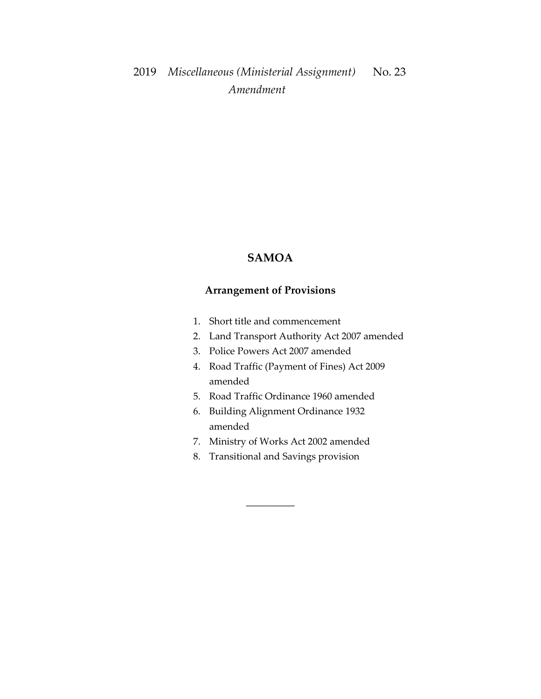### **SAMOA**

### **Arrangement of Provisions**

- 1. Short title and commencement
- 2. Land Transport Authority Act 2007 amended
- 3. Police Powers Act 2007 amended
- 4. Road Traffic (Payment of Fines) Act 2009 amended
- 5. Road Traffic Ordinance 1960 amended
- 6. Building Alignment Ordinance 1932 amended
- 7. Ministry of Works Act 2002 amended
- 8. Transitional and Savings provision

\_\_\_\_\_\_\_\_\_\_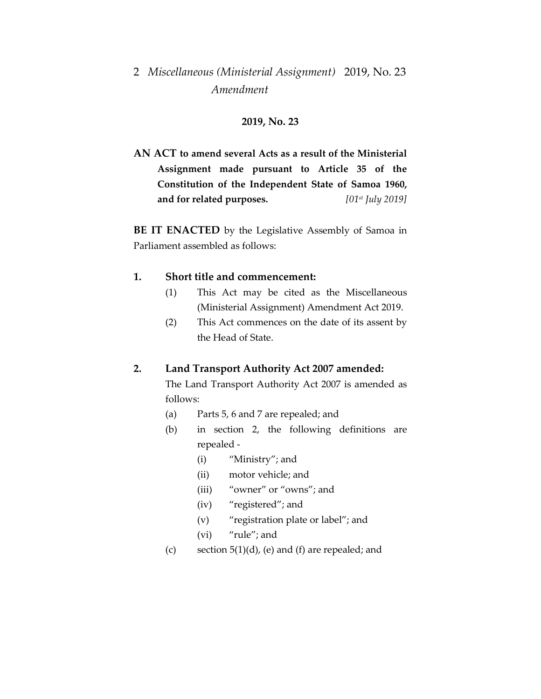#### **2019, No. 23**

**AN ACT to amend several Acts as a result of the Ministerial Assignment made pursuant to Article 35 of the Constitution of the Independent State of Samoa 1960, and for related purposes.** *[01st July 2019]*

**BE IT ENACTED** by the Legislative Assembly of Samoa in Parliament assembled as follows:

### **1. Short title and commencement:**

- (1) This Act may be cited as the Miscellaneous (Ministerial Assignment) Amendment Act 2019.
- (2) This Act commences on the date of its assent by the Head of State.

#### **2. Land Transport Authority Act 2007 amended:**

The Land Transport Authority Act 2007 is amended as follows:

- (a) Parts 5, 6 and 7 are repealed; and
- (b) in section 2, the following definitions are repealed -
	- (i) "Ministry"; and
	- (ii) motor vehicle; and
	- (iii) "owner" or "owns"; and
	- (iv) "registered"; and
	- (v) "registration plate or label"; and
	- (vi) "rule"; and
- (c) section  $5(1)(d)$ , (e) and (f) are repealed; and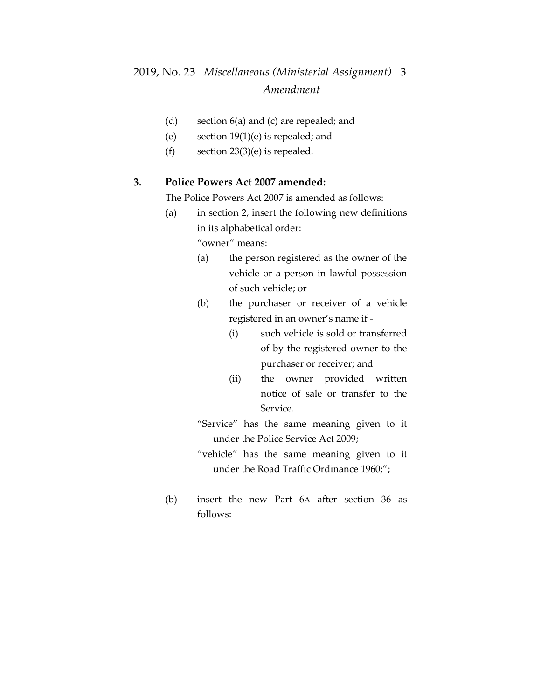### 2019, No. 23 *Miscellaneous (Ministerial Assignment)* 3  *Amendment*

- (d) section 6(a) and (c) are repealed; and
- (e) section 19(1)(e) is repealed; and
- (f) section 23(3)(e) is repealed.

### **3. Police Powers Act 2007 amended:**

The Police Powers Act 2007 is amended as follows:

(a) in section 2, insert the following new definitions in its alphabetical order:

"owner" means:

- (a) the person registered as the owner of the vehicle or a person in lawful possession of such vehicle; or
- (b) the purchaser or receiver of a vehicle registered in an owner's name if -
	- (i) such vehicle is sold or transferred of by the registered owner to the purchaser or receiver; and
	- (ii) the owner provided written notice of sale or transfer to the Service.
- "Service" has the same meaning given to it under the Police Service Act 2009;
- "vehicle" has the same meaning given to it under the Road Traffic Ordinance 1960;";
- (b) insert the new Part 6A after section 36 as follows: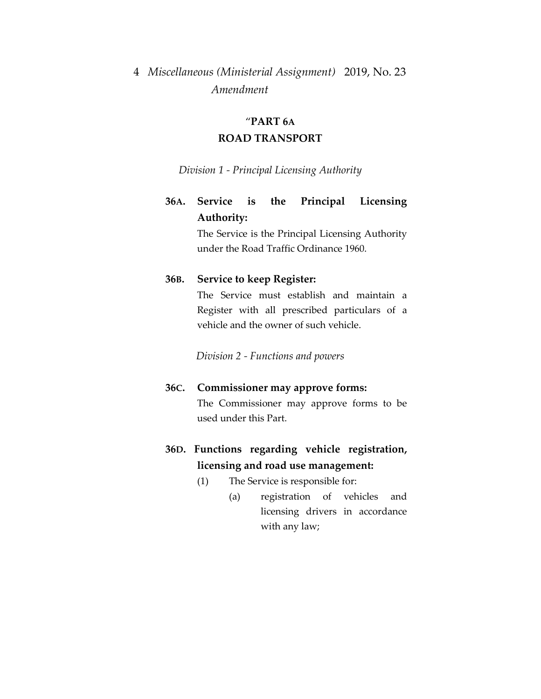### "**PART 6A ROAD TRANSPORT**

*Division 1 - Principal Licensing Authority*

# **36A. Service is the Principal Licensing Authority:**

The Service is the Principal Licensing Authority under the Road Traffic Ordinance 1960.

#### **36B. Service to keep Register:**

The Service must establish and maintain a Register with all prescribed particulars of a vehicle and the owner of such vehicle.

*Division 2 - Functions and powers*

### **36C. Commissioner may approve forms:**

The Commissioner may approve forms to be used under this Part.

### **36D. Functions regarding vehicle registration, licensing and road use management:**

- (1) The Service is responsible for:
	- (a) registration of vehicles and licensing drivers in accordance with any law;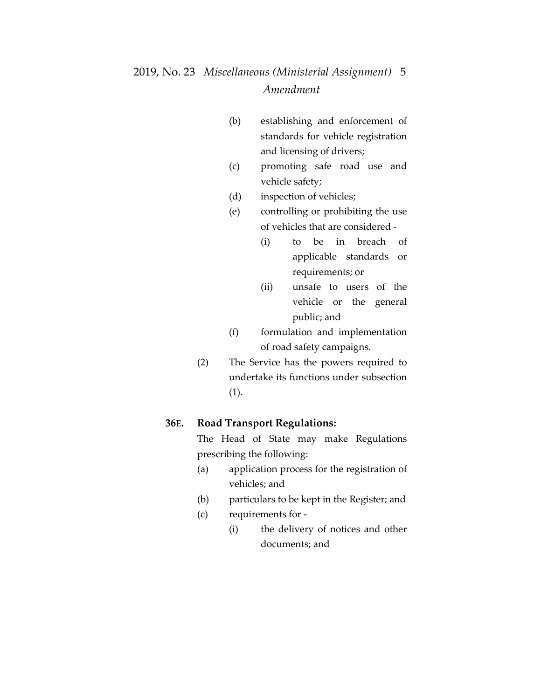### 2019, No. 23 *Miscellaneous (Ministerial Assignment)* 5  *Amendment*

- (b) establishing and enforcement of standards for vehicle registration and licensing of drivers;
- (c) promoting safe road use and vehicle safety;
- (d) inspection of vehicles;
- (e) controlling or prohibiting the use of vehicles that are considered -
	- (i) to be in breach of applicable standards or requirements; or
	- (ii) unsafe to users of the vehicle or the general public; and
- (f) formulation and implementation of road safety campaigns.
- (2) The Service has the powers required to undertake its functions under subsection (1).

#### **36E. Road Transport Regulations:**

The Head of State may make Regulations prescribing the following:

- (a) application process for the registration of vehicles; and
- (b) particulars to be kept in the Register; and
- (c) requirements for
	- (i) the delivery of notices and other documents; and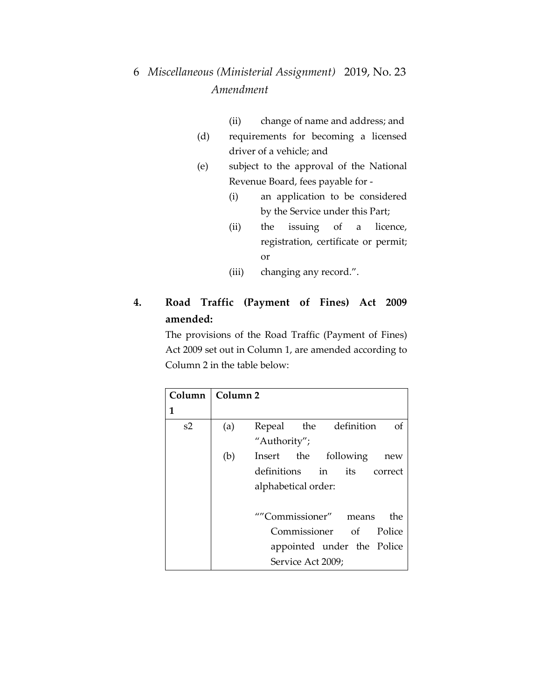- (ii) change of name and address; and
- (d) requirements for becoming a licensed driver of a vehicle; and
- (e) subject to the approval of the National Revenue Board, fees payable for -
	- (i) an application to be considered by the Service under this Part;
	- (ii) the issuing of a licence, registration, certificate or permit; or
	- (iii) changing any record.".

### **4. Road Traffic (Payment of Fines) Act 2009 amended:**

The provisions of the Road Traffic (Payment of Fines) Act 2009 set out in Column 1, are amended according to Column 2 in the table below:

| Column | Column <sub>2</sub> |                              |
|--------|---------------------|------------------------------|
| 1      |                     |                              |
| s2     | (a)                 | Repeal the definition<br>of  |
|        |                     | "Authority";                 |
|        | (b)                 | Insert the following new     |
|        |                     | definitions in its correct   |
|        |                     | alphabetical order:          |
|        |                     |                              |
|        |                     | ""Commissioner" means<br>the |
|        |                     | Commissioner of Police       |
|        |                     | appointed under the Police   |
|        |                     | Service Act 2009;            |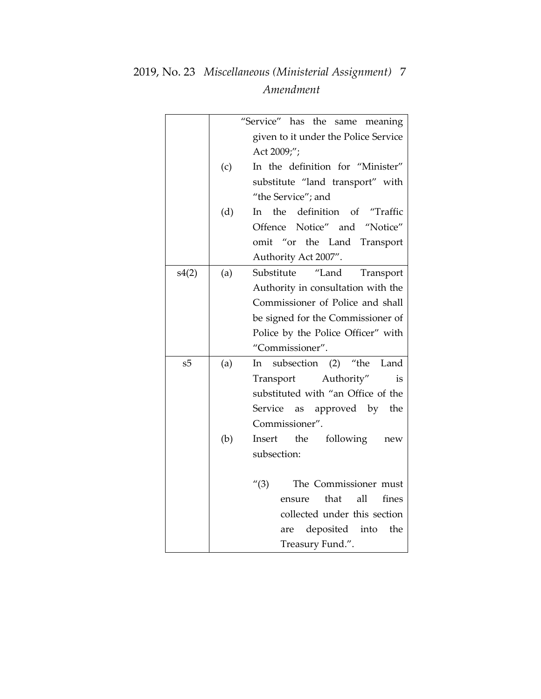## 2019, No. 23 *Miscellaneous (Ministerial Assignment)* 7  *Amendment*

|       |     | "Service" has the same meaning                |
|-------|-----|-----------------------------------------------|
|       |     | given to it under the Police Service          |
|       |     | Act 2009;";                                   |
|       | (c) | In the definition for "Minister"              |
|       |     | substitute "land transport" with              |
|       |     | "the Service"; and                            |
|       | (d) | In the definition of "Traffic                 |
|       |     | Offence Notice" and "Notice"                  |
|       |     | omit "or the Land Transport                   |
|       |     | Authority Act 2007".                          |
| s4(2) | (a) | Substitute "Land Transport                    |
|       |     | Authority in consultation with the            |
|       |     | Commissioner of Police and shall              |
|       |     | be signed for the Commissioner of             |
|       |     | Police by the Police Officer" with            |
|       |     | "Commissioner".                               |
| s5    | (a) | In subsection (2) "the Land                   |
|       |     | Transport Authority"<br>is                    |
|       |     | substituted with "an Office of the            |
|       |     | Service as approved by the                    |
|       |     | Commissioner".                                |
|       | (b) | Insert the following new                      |
|       |     | subsection:                                   |
|       |     |                                               |
|       |     | $^{\prime\prime}(3)$<br>The Commissioner must |
|       |     | that<br>all<br>fines<br>ensure                |
|       |     | collected under this section                  |
|       |     | deposited into the<br>are                     |
|       |     | Treasury Fund.".                              |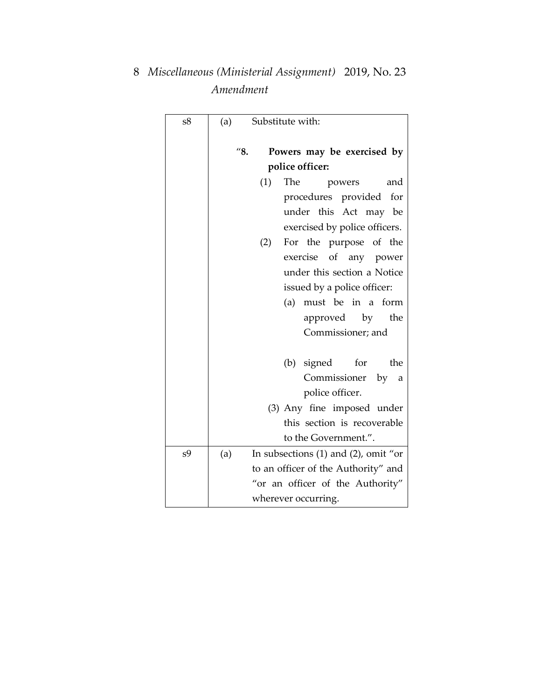| s8             | Substitute with:<br>(a)                                              |
|----------------|----------------------------------------------------------------------|
|                | $^{\prime\prime}8.$<br>Powers may be exercised by<br>police officer: |
|                | (1)<br>The<br>powers<br>and                                          |
|                | procedures provided for                                              |
|                | under this Act may be                                                |
|                |                                                                      |
|                | exercised by police officers.                                        |
|                | For the purpose of the<br>(2)                                        |
|                | exercise of any power                                                |
|                | under this section a Notice                                          |
|                | issued by a police officer:                                          |
|                | must be in a form<br>(a)                                             |
|                | approved by the                                                      |
|                | Commissioner; and                                                    |
|                | (b) signed<br>for<br>the                                             |
|                | Commissioner by<br><sub>a</sub>                                      |
|                | police officer.                                                      |
|                | (3) Any fine imposed under                                           |
|                | this section is recoverable                                          |
|                | to the Government.".                                                 |
| s <sub>9</sub> | In subsections $(1)$ and $(2)$ , omit "or<br>(a)                     |
|                | to an officer of the Authority" and                                  |
|                | "or an officer of the Authority"                                     |
|                | wherever occurring.                                                  |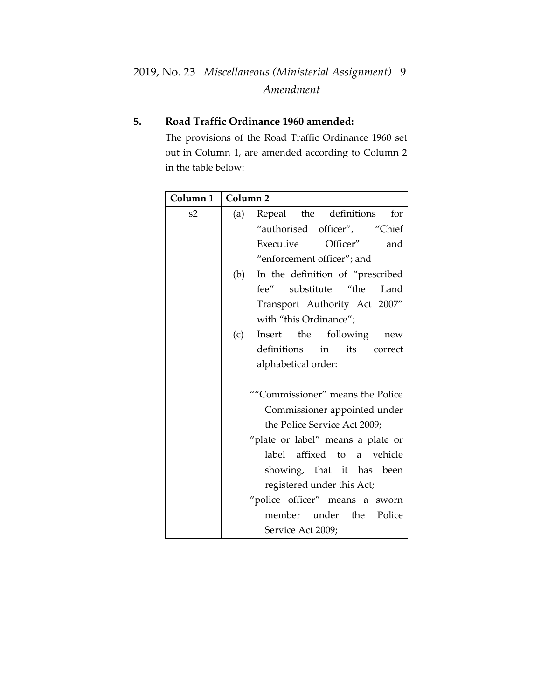## 2019, No. 23 *Miscellaneous (Ministerial Assignment)* 9  *Amendment*

### **5. Road Traffic Ordinance 1960 amended:**

The provisions of the Road Traffic Ordinance 1960 set out in Column 1, are amended according to Column 2 in the table below:

| Column <sub>1</sub> | Column <sub>2</sub>                     |
|---------------------|-----------------------------------------|
| s2                  | Repeal the definitions<br>for<br>(a)    |
|                     | "authorised officer", "Chief            |
|                     | Executive<br>Officer"<br>and            |
|                     | "enforcement officer"; and              |
|                     | In the definition of "prescribed<br>(b) |
|                     | fee" substitute<br>the "<br>Land        |
|                     | Transport Authority Act 2007"           |
|                     | with "this Ordinance";                  |
|                     | Insert the following<br>(c)<br>new      |
|                     | definitions in<br>its correct           |
|                     | alphabetical order:                     |
|                     |                                         |
|                     | ""Commissioner" means the Police        |
|                     | Commissioner appointed under            |
|                     | the Police Service Act 2009;            |
|                     | "plate or label" means a plate or       |
|                     | label affixed to a vehicle              |
|                     | showing, that it has been               |
|                     | registered under this Act;              |
|                     | "police officer" means a sworn          |
|                     | member under the Police                 |
|                     | Service Act 2009;                       |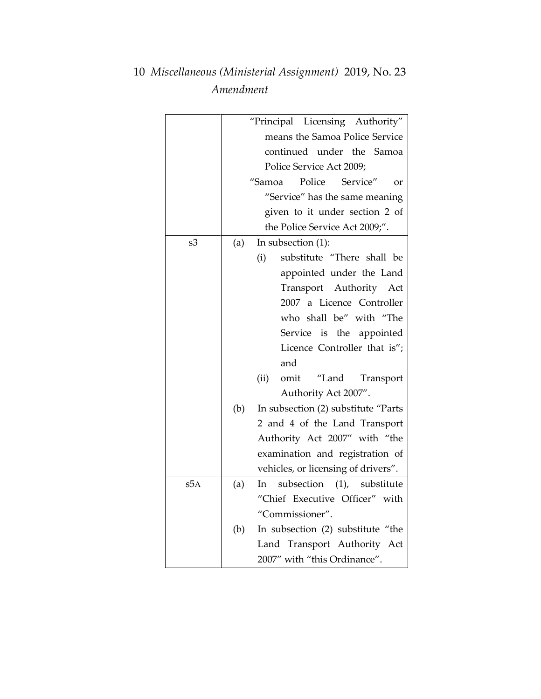|                  |     | "Principal Licensing Authority"               |
|------------------|-----|-----------------------------------------------|
|                  |     | means the Samoa Police Service                |
|                  |     | continued under the Samoa                     |
|                  |     | Police Service Act 2009;                      |
|                  |     | Service"<br>"Samoa<br>Police<br><sub>or</sub> |
|                  |     | "Service" has the same meaning                |
|                  |     | given to it under section 2 of                |
|                  |     | the Police Service Act 2009;".                |
| s3               | (a) | In subsection $(1)$ :                         |
|                  |     | substitute "There shall be<br>(i)             |
|                  |     | appointed under the Land                      |
|                  |     | Transport Authority Act                       |
|                  |     | 2007 a Licence Controller                     |
|                  |     | who shall be" with "The                       |
|                  |     | Service is the appointed                      |
|                  |     | Licence Controller that is";                  |
|                  |     | and                                           |
|                  |     | (ii)<br>Transport<br>omit "Land               |
|                  |     | Authority Act 2007".                          |
|                  | (b) | In subsection (2) substitute "Parts           |
|                  |     | 2 and 4 of the Land Transport                 |
|                  |     | Authority Act 2007" with "the                 |
|                  |     | examination and registration of               |
|                  |     | vehicles, or licensing of drivers".           |
| s <sub>5</sub> A | (a) | subsection (1), substitute<br>In              |
|                  |     | "Chief Executive Officer" with                |
|                  |     | "Commissioner".                               |
|                  | (b) | In subsection (2) substitute "the             |
|                  |     | Land Transport Authority Act                  |
|                  |     | 2007" with "this Ordinance".                  |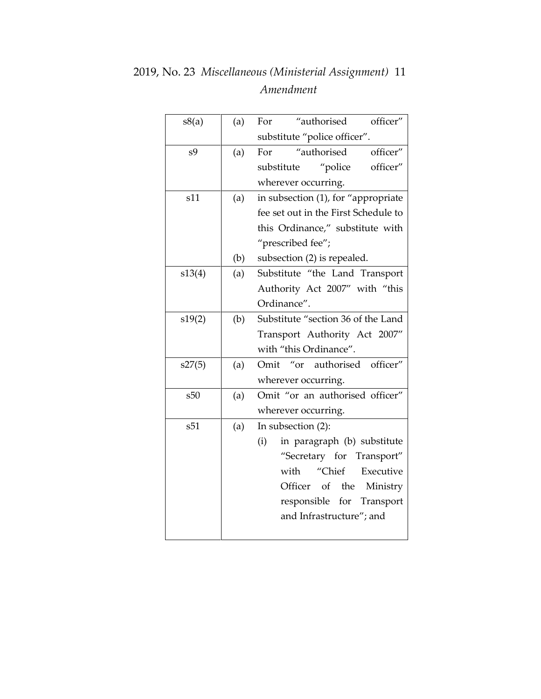| s8(a)  | (a) | "authorised<br>officer"<br>For       |
|--------|-----|--------------------------------------|
|        |     | substitute "police officer".         |
| s9     | (a) | "authorised<br>officer"<br>For       |
|        |     | "police<br>officer"<br>substitute    |
|        |     | wherever occurring.                  |
| s11    | (a) | in subsection (1), for "appropriate  |
|        |     | fee set out in the First Schedule to |
|        |     | this Ordinance," substitute with     |
|        |     | "prescribed fee";                    |
|        | (b) | subsection (2) is repealed.          |
| s13(4) | (a) | Substitute "the Land Transport       |
|        |     | Authority Act 2007" with "this       |
|        |     | Ordinance".                          |
| s19(2) | (b) | Substitute "section 36 of the Land   |
|        |     | Transport Authority Act 2007"        |
|        |     | with "this Ordinance".               |
| s27(5) | (a) | Omit "or authorised officer"         |
|        |     | wherever occurring.                  |
| s50    | (a) | Omit "or an authorised officer"      |
|        |     | wherever occurring.                  |
| s51    | (a) | In subsection (2):                   |
|        |     | in paragraph (b) substitute<br>(i)   |
|        |     | "Secretary for Transport"            |
|        |     | "Chief<br>Executive<br>with          |
|        |     | Officer of the Ministry              |
|        |     | responsible for Transport            |
|        |     | and Infrastructure"; and             |
|        |     |                                      |

## 2019, No. 23 *Miscellaneous (Ministerial Assignment)* 11  *Amendment*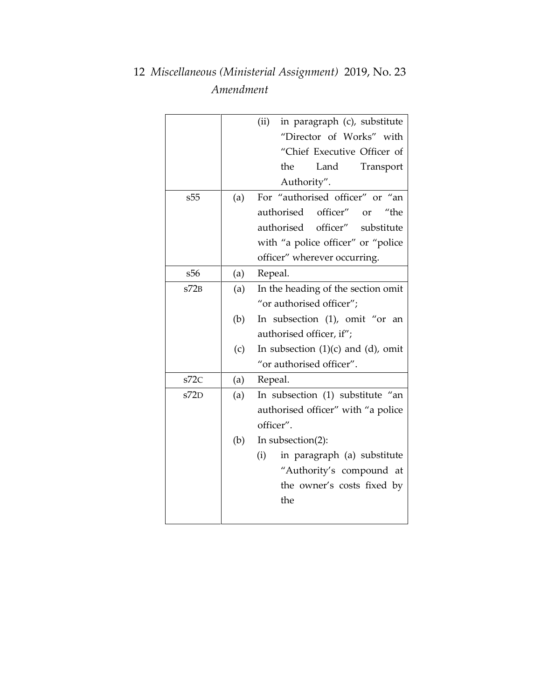|      |     | (ii)<br>in paragraph (c), substitute    |
|------|-----|-----------------------------------------|
|      |     | "Director of Works" with                |
|      |     | "Chief Executive Officer of             |
|      |     | the<br>Land Transport                   |
|      |     | Authority".                             |
| s55  | (a) | For "authorised officer" or "an         |
|      |     | authorised officer" or<br>"the          |
|      |     | officer" substitute<br>authorised       |
|      |     | with "a police officer" or "police      |
|      |     | officer" wherever occurring.            |
| s56  | (a) | Repeal.                                 |
| s72B | (a) | In the heading of the section omit      |
|      |     | "or authorised officer";                |
|      | (b) | In subsection (1), omit "or an          |
|      |     | authorised officer, if";                |
|      | (c) | In subsection $(1)(c)$ and $(d)$ , omit |
|      |     | "or authorised officer".                |
| s72C | (a) | Repeal.                                 |
| s72D | (a) | In subsection (1) substitute "an        |
|      |     | authorised officer" with "a police      |
|      |     | officer".                               |
|      | (b) | In subsection(2):                       |
|      |     | in paragraph (a) substitute<br>(i)      |
|      |     | "Authority's compound at                |
|      |     | the owner's costs fixed by              |
|      |     | the                                     |
|      |     |                                         |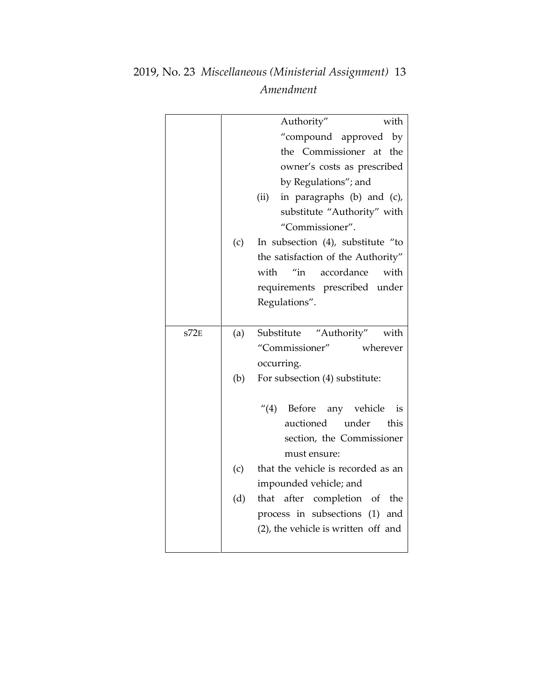|      |     | Authority"<br>with                                  |
|------|-----|-----------------------------------------------------|
|      |     | "compound approved<br>by                            |
|      |     | the Commissioner at<br>the                          |
|      |     | owner's costs as prescribed                         |
|      |     | by Regulations"; and                                |
|      |     | (ii)<br>in paragraphs (b) and (c),                  |
|      |     | substitute "Authority" with                         |
|      |     | "Commissioner".                                     |
|      | (c) | In subsection (4), substitute "to                   |
|      |     | the satisfaction of the Authority"                  |
|      |     | $\pi$ in<br>accordance<br>with<br>with              |
|      |     | requirements prescribed under                       |
|      |     | Regulations".                                       |
|      |     |                                                     |
| s72E | (a) | "Authority"<br>Substitute<br>with                   |
|      |     | "Commissioner"<br>wherever                          |
|      |     | occurring.                                          |
|      | (b) | For subsection (4) substitute:                      |
|      |     |                                                     |
|      |     | $^{\prime\prime}(4)$<br>any vehicle<br>Before<br>is |
|      |     | auctioned under this                                |
|      |     | section, the Commissioner                           |
|      |     | must ensure:                                        |
|      | (c) | that the vehicle is recorded as an                  |
|      |     | impounded vehicle; and                              |
|      | (d) | that after completion of the                        |
|      |     | process in subsections (1) and                      |
|      |     | $(2)$ , the vehicle is written off and              |
|      |     |                                                     |
|      |     |                                                     |

## 2019, No. 23 *Miscellaneous (Ministerial Assignment)* 13  *Amendment*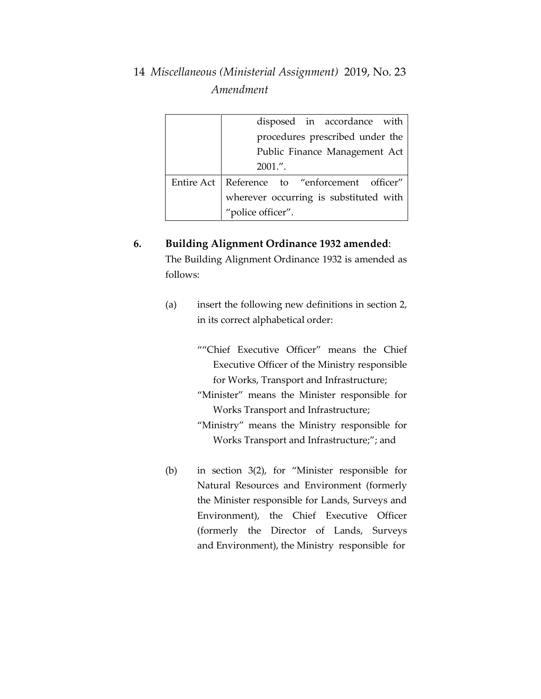| disposed in accordance with                     |
|-------------------------------------------------|
| procedures prescribed under the                 |
| Public Finance Management Act                   |
| $2001."$ .                                      |
| Entire Act   Reference to "enforcement officer" |
| wherever occurring is substituted with          |
| "police officer".                               |

### **6. Building Alignment Ordinance 1932 amended**:

The Building Alignment Ordinance 1932 is amended as follows:

- (a) insert the following new definitions in section 2, in its correct alphabetical order:
	- ""Chief Executive Officer" means the Chief Executive Officer of the Ministry responsible for Works, Transport and Infrastructure;
	- "Minister" means the Minister responsible for Works Transport and Infrastructure;
	- "Ministry" means the Ministry responsible for Works Transport and Infrastructure;"; and
- (b) in section 3(2), for "Minister responsible for Natural Resources and Environment (formerly the Minister responsible for Lands, Surveys and Environment), the Chief Executive Officer (formerly the Director of Lands, Surveys and Environment), the Ministry responsible for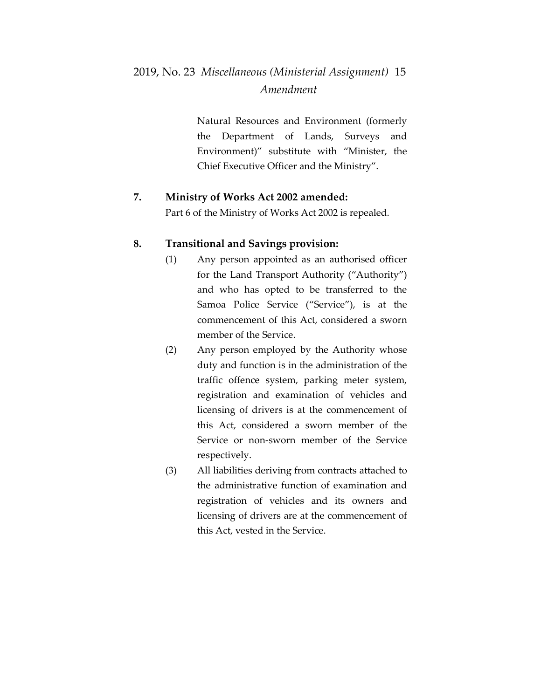### 2019, No. 23 *Miscellaneous (Ministerial Assignment)* 15  *Amendment*

Natural Resources and Environment (formerly the Department of Lands, Surveys and Environment)" substitute with "Minister, the Chief Executive Officer and the Ministry".

### **7. Ministry of Works Act 2002 amended:**

Part 6 of the Ministry of Works Act 2002 is repealed.

### **8. Transitional and Savings provision:**

- (1) Any person appointed as an authorised officer for the Land Transport Authority ("Authority") and who has opted to be transferred to the Samoa Police Service ("Service"), is at the commencement of this Act, considered a sworn member of the Service.
- (2) Any person employed by the Authority whose duty and function is in the administration of the traffic offence system, parking meter system, registration and examination of vehicles and licensing of drivers is at the commencement of this Act, considered a sworn member of the Service or non-sworn member of the Service respectively.
- (3) All liabilities deriving from contracts attached to the administrative function of examination and registration of vehicles and its owners and licensing of drivers are at the commencement of this Act, vested in the Service.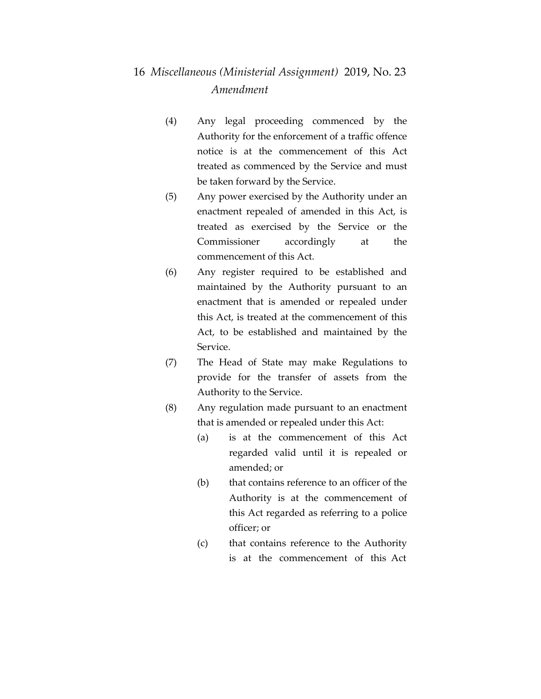- (4) Any legal proceeding commenced by the Authority for the enforcement of a traffic offence notice is at the commencement of this Act treated as commenced by the Service and must be taken forward by the Service.
- (5) Any power exercised by the Authority under an enactment repealed of amended in this Act, is treated as exercised by the Service or the Commissioner accordingly at the commencement of this Act.
- (6) Any register required to be established and maintained by the Authority pursuant to an enactment that is amended or repealed under this Act, is treated at the commencement of this Act, to be established and maintained by the Service.
- (7) The Head of State may make Regulations to provide for the transfer of assets from the Authority to the Service.
- (8) Any regulation made pursuant to an enactment that is amended or repealed under this Act:
	- (a) is at the commencement of this Act regarded valid until it is repealed or amended; or
	- (b) that contains reference to an officer of the Authority is at the commencement of this Act regarded as referring to a police officer; or
	- (c) that contains reference to the Authority is at the commencement of this Act